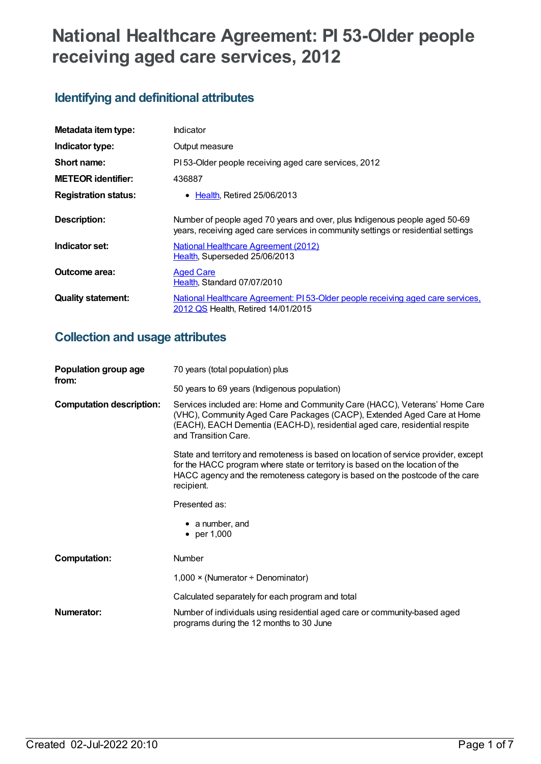# **National Healthcare Agreement: PI 53-Older people receiving aged care services, 2012**

## **Identifying and definitional attributes**

| Metadata item type:         | Indicator                                                                                                                                                       |
|-----------------------------|-----------------------------------------------------------------------------------------------------------------------------------------------------------------|
| Indicator type:             | Output measure                                                                                                                                                  |
| Short name:                 | PI 53-Older people receiving aged care services, 2012                                                                                                           |
| <b>METEOR identifier:</b>   | 436887                                                                                                                                                          |
| <b>Registration status:</b> | • Health, Retired 25/06/2013                                                                                                                                    |
| <b>Description:</b>         | Number of people aged 70 years and over, plus Indigenous people aged 50-69<br>years, receiving aged care services in community settings or residential settings |
| Indicator set:              | National Healthcare Agreement (2012)<br>Health, Superseded 25/06/2013                                                                                           |
| Outcome area:               | <b>Aged Care</b><br>Health, Standard 07/07/2010                                                                                                                 |
| <b>Quality statement:</b>   | National Healthcare Agreement: PI 53-Older people receiving aged care services,<br>2012 QS Health, Retired 14/01/2015                                           |

## **Collection and usage attributes**

| Population group age<br>from:   | 70 years (total population) plus                                                                                                                                                                                                                                   |
|---------------------------------|--------------------------------------------------------------------------------------------------------------------------------------------------------------------------------------------------------------------------------------------------------------------|
|                                 | 50 years to 69 years (Indigenous population)                                                                                                                                                                                                                       |
| <b>Computation description:</b> | Services included are: Home and Community Care (HACC), Veterans' Home Care<br>(VHC), Community Aged Care Packages (CACP), Extended Aged Care at Home<br>(EACH), EACH Dementia (EACH-D), residential aged care, residential respite<br>and Transition Care.         |
|                                 | State and territory and remoteness is based on location of service provider, except<br>for the HACC program where state or territory is based on the location of the<br>HACC agency and the remoteness category is based on the postcode of the care<br>recipient. |
|                                 | Presented as:                                                                                                                                                                                                                                                      |
|                                 | $\bullet$ a number, and<br>• per 1,000                                                                                                                                                                                                                             |
| <b>Computation:</b>             | <b>Number</b>                                                                                                                                                                                                                                                      |
|                                 | 1,000 × (Numerator ÷ Denominator)                                                                                                                                                                                                                                  |
|                                 | Calculated separately for each program and total                                                                                                                                                                                                                   |
| Numerator:                      | Number of individuals using residential aged care or community-based aged<br>programs during the 12 months to 30 June                                                                                                                                              |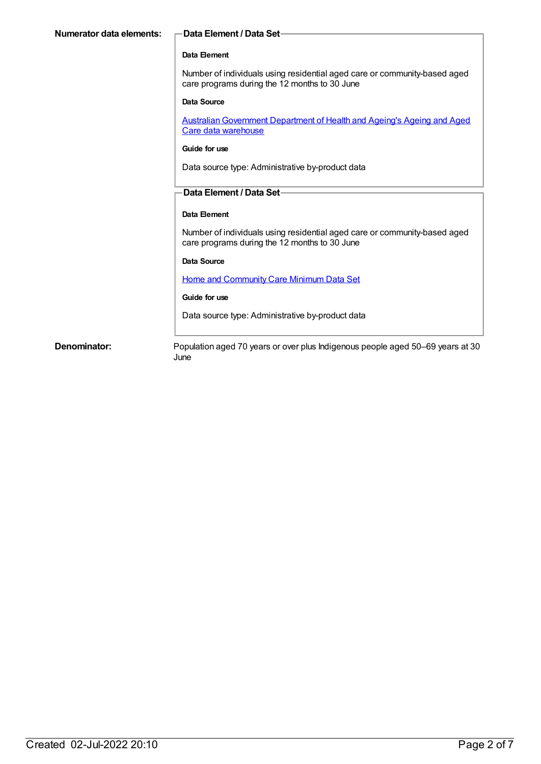| Numerator data elements:                                  | <b>Data Element / Data Set-</b>                                                                                            |  |                                                  |
|-----------------------------------------------------------|----------------------------------------------------------------------------------------------------------------------------|--|--------------------------------------------------|
|                                                           |                                                                                                                            |  |                                                  |
|                                                           | Data Element                                                                                                               |  |                                                  |
|                                                           | Number of individuals using residential aged care or community-based aged<br>care programs during the 12 months to 30 June |  |                                                  |
|                                                           | Data Source                                                                                                                |  |                                                  |
|                                                           | <b>Australian Government Department of Health and Ageing's Ageing and Aged</b><br>Care data warehouse                      |  |                                                  |
|                                                           | Guide for use                                                                                                              |  |                                                  |
|                                                           | Data source type: Administrative by-product data                                                                           |  |                                                  |
|                                                           | Data Element / Data Set-                                                                                                   |  |                                                  |
|                                                           |                                                                                                                            |  |                                                  |
| Data Element                                              |                                                                                                                            |  |                                                  |
|                                                           | Number of individuals using residential aged care or community-based aged<br>care programs during the 12 months to 30 June |  |                                                  |
|                                                           | Data Source                                                                                                                |  |                                                  |
| Home and Community Care Minimum Data Set<br>Guide for use |                                                                                                                            |  |                                                  |
|                                                           |                                                                                                                            |  | Data source type: Administrative by-product data |
| Denominator:                                              | Population aged 70 years or over plus Indigenous people aged 50–69 years at 30<br>June                                     |  |                                                  |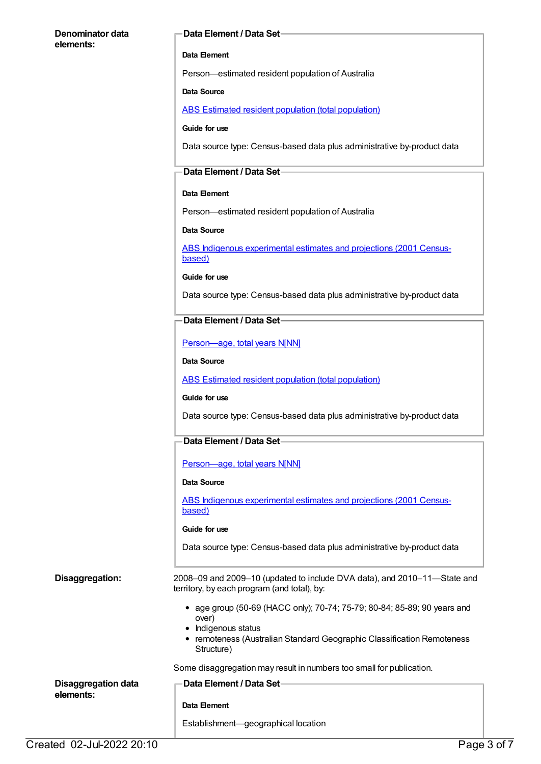#### **Denominator data elements:**

#### **Data Element / Data Set**

#### **Data Element**

Person—estimated resident population of Australia

#### **Data Source**

ABS Estimated resident population (total [population\)](https://meteor.aihw.gov.au/content/393625)

#### **Guide for use**

Data source type: Census-based data plus administrative by-product data

#### **Data Element / Data Set**

#### **Data Element**

Person—estimated resident population of Australia

#### **Data Source**

ABS Indigenous [experimental](https://meteor.aihw.gov.au/content/394092) estimates and projections (2001 Censusbased)

**Guide for use**

Data source type: Census-based data plus administrative by-product data

#### **Data Element / Data Set**

[Person—age,](https://meteor.aihw.gov.au/content/303794) total years N[NN]

#### **Data Source**

ABS Estimated resident population (total [population\)](https://meteor.aihw.gov.au/content/393625)

#### **Guide for use**

Data source type: Census-based data plus administrative by-product data

### **Data Element / Data Set**

[Person—age,](https://meteor.aihw.gov.au/content/303794) total years N[NN]

#### **Data Source**

ABS Indigenous [experimental](https://meteor.aihw.gov.au/content/394092) estimates and projections (2001 Censusbased)

#### **Guide for use**

Data source type: Census-based data plus administrative by-product data

**Disaggregation:** 2008–09 and 2009–10 (updated to include DVA data), and 2010–11—State and territory, by each program (and total), by:

- age group (50-69 (HACC only); 70-74; 75-79; 80-84; 85-89; 90 years and over)
- Indigenous status
- remoteness (Australian Standard Geographic Classification Remoteness Structure)

Some disaggregation may result in numbers too small for publication.

| Disaggregation data<br>elements: | — Data Element / Data Set-          |
|----------------------------------|-------------------------------------|
|                                  | Data Element                        |
|                                  | Establishment-geographical location |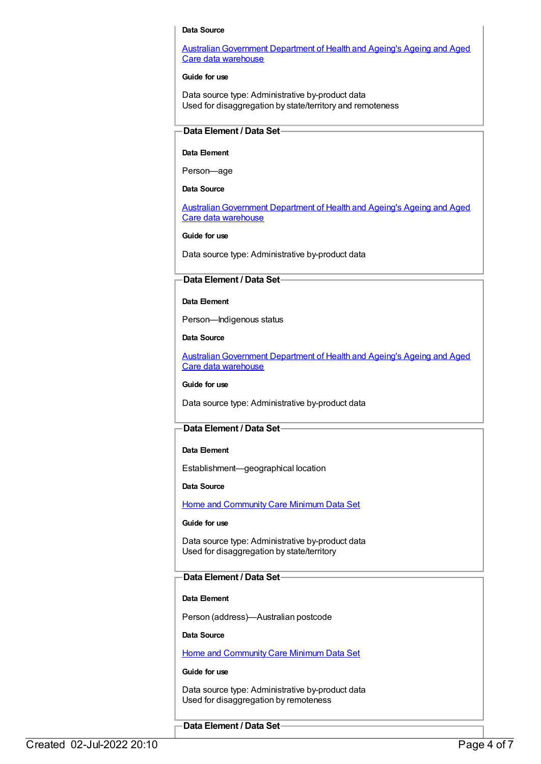#### **Data Source**

Australian Government Department of Health and Ageing's Ageing and Aged Care data warehouse

#### **Guide for use**

Data source type: Administrative by-product data Used for disaggregation by state/territory and remoteness

#### **Data Element / Data Set**

#### **Data Element**

Person—age

#### **Data Source**

[AustralianGovernment](https://meteor.aihw.gov.au/content/394091) Department of Health and Ageing's Ageing and Aged Care data warehouse

#### **Guide for use**

Data source type: Administrative by-product data

#### **Data Element / Data Set**

#### **Data Element**

Person—Indigenous status

**Data Source**

[AustralianGovernment](https://meteor.aihw.gov.au/content/394091) Department of Health and Ageing's Ageing and Aged Care data warehouse

#### **Guide for use**

Data source type: Administrative by-product data

#### **Data Element / Data Set**

#### **Data Element**

Establishment—geographical location

#### **Data Source**

Home and [Community](https://meteor.aihw.gov.au/content/405680) Care Minimum Data Set

#### **Guide for use**

Data source type: Administrative by-product data Used for disaggregation by state/territory

#### **Data Element / Data Set**

#### **Data Element**

Person (address)—Australian postcode

**Data Source**

Home and [Community](https://meteor.aihw.gov.au/content/405680) Care Minimum Data Set

#### **Guide for use**

Data source type: Administrative by-product data Used for disaggregation by remoteness

#### **Data Element / Data Set**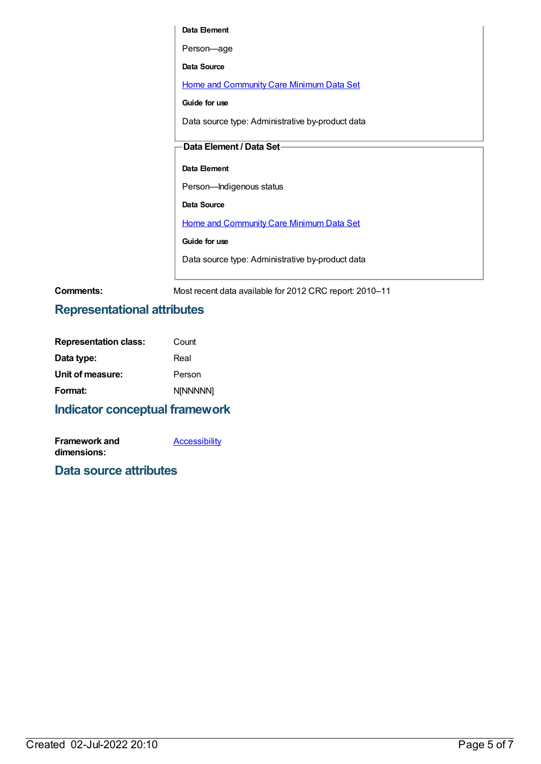**Data Element** Person—age **Data Source** Home and [Community](https://meteor.aihw.gov.au/content/405680) Care Minimum Data Set **Guide for use** Data source type: Administrative by-product data **Data Element / Data Set Data Element** Person—Indigenous status **Data Source** Home and [Community](https://meteor.aihw.gov.au/content/405680) Care Minimum Data Set **Guide for use** Data source type: Administrative by-product data

**Comments:** Most recent data available for 2012 CRC report: 2010–11

### **Representational attributes**

| <b>Representation class:</b> | Count           |
|------------------------------|-----------------|
| Data type:                   | Real            |
| Unit of measure:             | Person          |
| Format:                      | <b>NINNNNN1</b> |
|                              |                 |

### **Indicator conceptual framework**

| <b>Framework and</b> | <b>Accessibility</b> |
|----------------------|----------------------|
| dimensions:          |                      |

### **Data source attributes**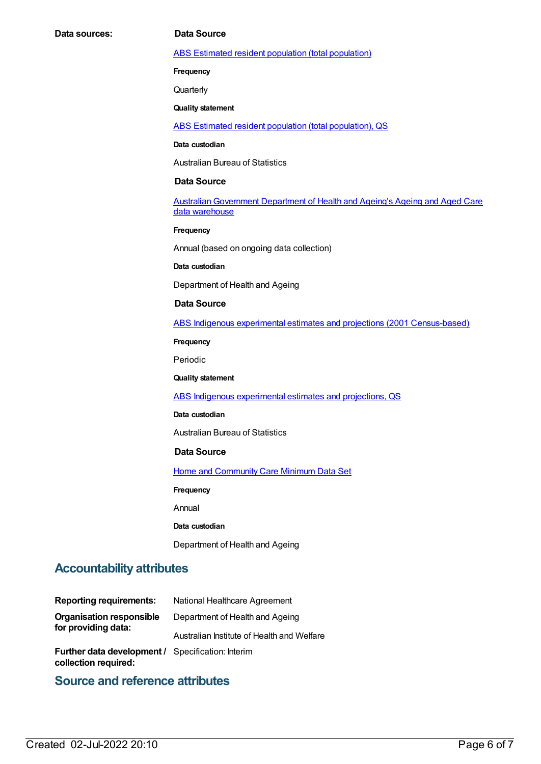#### ABS Estimated resident population (total [population\)](https://meteor.aihw.gov.au/content/393625)

**Frequency**

**Quarterly** 

#### **Quality statement**

ABS Estimated resident population (total [population\),](https://meteor.aihw.gov.au/content/449216) QS

#### **Data custodian**

Australian Bureau of Statistics

#### **Data Source**

Australian Government Department of Health and Ageing's Ageing and Aged Care data warehouse

#### **Frequency**

Annual (based on ongoing data collection)

#### **Data custodian**

Department of Health and Ageing

#### **Data Source**

ABS Indigenous experimental estimates and projections (2001 [Census-based\)](https://meteor.aihw.gov.au/content/394092)

**Frequency**

Periodic

#### **Quality statement**

ABS Indigenous [experimental](https://meteor.aihw.gov.au/content/449223) estimates and projections, QS

#### **Data custodian**

Australian Bureau of Statistics

#### **Data Source**

**Home and [Community](https://meteor.aihw.gov.au/content/405680) Care Minimum Data Set** 

**Frequency**

Annual

**Data custodian**

Department of Health and Ageing

### **Accountability attributes**

| <b>Reporting requirements:</b>                                            | National Healthcare Agreement              |
|---------------------------------------------------------------------------|--------------------------------------------|
| <b>Organisation responsible</b><br>for providing data:                    | Department of Health and Ageing            |
|                                                                           | Australian Institute of Health and Welfare |
| Further data development / Specification: Interim<br>collection required: |                                            |

### **Source and reference attributes**